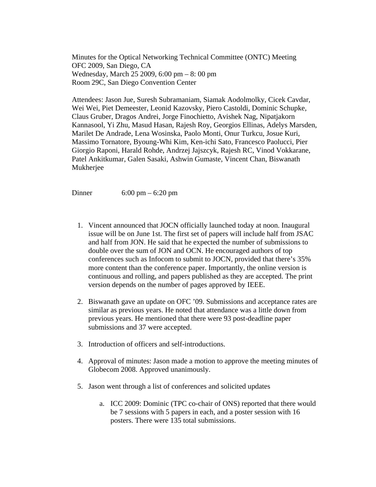Minutes for the Optical Networking Technical Committee (ONTC) Meeting OFC 2009, San Diego, CA Wednesday, March 25 2009, 6:00 pm – 8: 00 pm Room 29C, San Diego Convention Center

Attendees: Jason Jue, Suresh Subramaniam, Siamak Aodolmolky, Cicek Cavdar, Wei Wei, Piet Demeester, Leonid Kazovsky, Piero Castoldi, Dominic Schupke, Claus Gruber, Dragos Andrei, Jorge Finochietto, Avishek Nag, Nipatjakorn Kannasool, Yi Zhu, Masud Hasan, Rajesh Roy, Georgios Ellinas, Adelys Marsden, Marilet De Andrade, Lena Wosinska, Paolo Monti, Onur Turkcu, Josue Kuri, Massimo Tornatore, Byoung-Whi Kim, Ken-ichi Sato, Francesco Paolucci, Pier Giorgio Raponi, Harald Rohde, Andrzej Jajszcyk, Rajesh RC, Vinod Vokkarane, Patel Ankitkumar, Galen Sasaki, Ashwin Gumaste, Vincent Chan, Biswanath Mukherjee

Dinner 6:00 pm – 6:20 pm

- 1. Vincent announced that JOCN officially launched today at noon. Inaugural issue will be on June 1st. The first set of papers will include half from JSAC and half from JON. He said that he expected the number of submissions to double over the sum of JON and OCN. He encouraged authors of top conferences such as Infocom to submit to JOCN, provided that there's 35% more content than the conference paper. Importantly, the online version is continuous and rolling, and papers published as they are accepted. The print version depends on the number of pages approved by IEEE.
- 2. Biswanath gave an update on OFC '09. Submissions and acceptance rates are similar as previous years. He noted that attendance was a little down from previous years. He mentioned that there were 93 post-deadline paper submissions and 37 were accepted.
- 3. Introduction of officers and self-introductions.
- 4. Approval of minutes: Jason made a motion to approve the meeting minutes of Globecom 2008. Approved unanimously.
- 5. Jason went through a list of conferences and solicited updates
	- a. ICC 2009: Dominic (TPC co-chair of ONS) reported that there would be 7 sessions with 5 papers in each, and a poster session with 16 posters. There were 135 total submissions.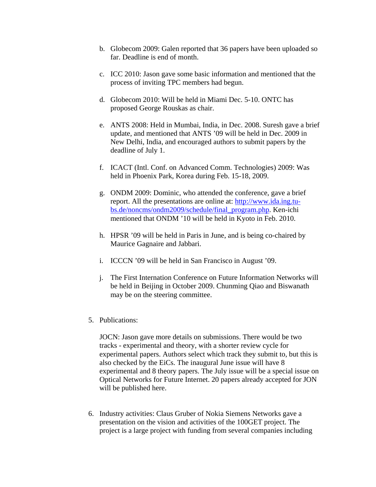- b. Globecom 2009: Galen reported that 36 papers have been uploaded so far. Deadline is end of month.
- c. ICC 2010: Jason gave some basic information and mentioned that the process of inviting TPC members had begun.
- d. Globecom 2010: Will be held in Miami Dec. 5-10. ONTC has proposed George Rouskas as chair.
- e. ANTS 2008: Held in Mumbai, India, in Dec. 2008. Suresh gave a brief update, and mentioned that ANTS '09 will be held in Dec. 2009 in New Delhi, India, and encouraged authors to submit papers by the deadline of July 1.
- f. ICACT (Intl. Conf. on Advanced Comm. Technologies) 2009: Was held in Phoenix Park, Korea during Feb. 15-18, 2009.
- g. ONDM 2009: Dominic, who attended the conference, gave a brief report. All the presentations are online at: http://www.ida.ing.tubs.de/noncms/ondm2009/schedule/final\_program.php. Ken-ichi mentioned that ONDM '10 will be held in Kyoto in Feb. 2010.
- h. HPSR '09 will be held in Paris in June, and is being co-chaired by Maurice Gagnaire and Jabbari.
- i. ICCCN '09 will be held in San Francisco in August '09.
- j. The First Internation Conference on Future Information Networks will be held in Beijing in October 2009. Chunming Qiao and Biswanath may be on the steering committee.
- 5. Publications:

JOCN: Jason gave more details on submissions. There would be two tracks - experimental and theory, with a shorter review cycle for experimental papers. Authors select which track they submit to, but this is also checked by the EiCs. The inaugural June issue will have 8 experimental and 8 theory papers. The July issue will be a special issue on Optical Networks for Future Internet. 20 papers already accepted for JON will be published here.

6. Industry activities: Claus Gruber of Nokia Siemens Networks gave a presentation on the vision and activities of the 100GET project. The project is a large project with funding from several companies including